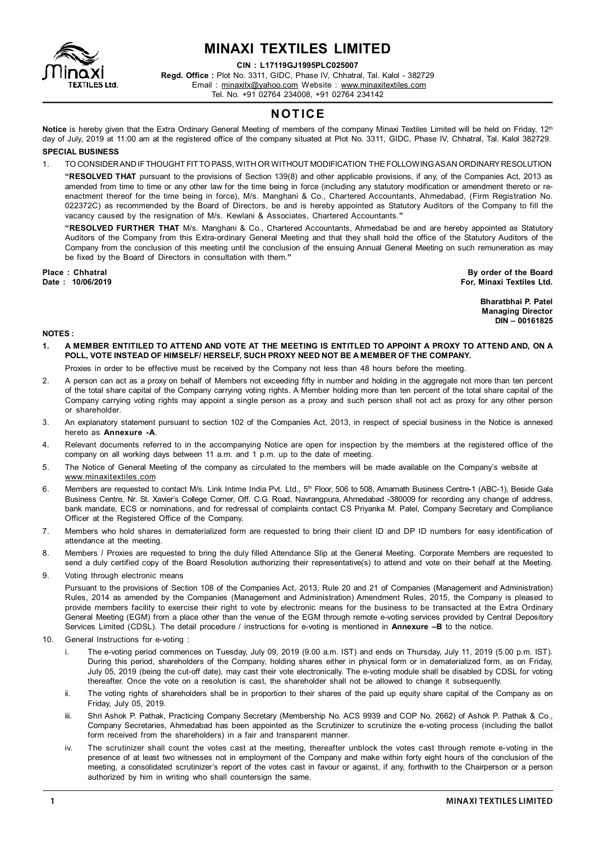

# **MINAXI TEXTILES LIMITED**

**CIN : L17119GJ1995PLC025007**

**Regd. Office :** Plot No. 3311, GIDC, Phase IV, Chhatral, Tal. Kalol - 382729 Email : minaxitx@yahoo.com Website : www.minaxitextiles.com Tel. No. +91 02764 234008, +91 02764 234142

### **NOT ICE**

Notice is hereby given that the Extra Ordinary General Meeting of members of the company Minaxi Textiles Limited will be held on Friday, 12<sup>th</sup> day of July, 2019 at 11:00 am at the registered office of the company situated at Plot No. 3311, GIDC, Phase IV, Chhatral, Tal. Kalol 382729.

#### **SPECIAL BUSINESS**

1. TO CONSIDER AND IF THOUGHT FIT TO PASS, WITH OR WITHOUT MODIFICATION THE FOLLOWING AS AN ORDINARY RESOLUTION

**"RESOLVED THAT** pursuant to the provisions of Section 139(8) and other applicable provisions, if any, of the Companies Act, 2013 as amended from time to time or any other law for the time being in force (including any statutory modification or amendment thereto or reenactment thereof for the time being in force), M/s. Manghani & Co., Chartered Accountants, Ahmedabad, (Firm Registration No. 022372C) as recommended by the Board of Directors, be and is hereby appointed as Statutory Auditors of the Company to fill the vacancy caused by the resignation of M/s. Kewlani & Associates, Chartered Accountants.**"**

**"RESOLVED FURTHER THAT** M/s. Manghani & Co., Chartered Accountants, Ahmedabad be and are hereby appointed as Statutory Auditors of the Company from this Extra-ordinary General Meeting and that they shall hold the office of the Statutory Auditors of the Company from the conclusion of this meeting until the conclusion of the ensuing Annual General Meeting on such remuneration as may be fixed by the Board of Directors in consultation with them.**"**

**Place : Chhatral By order of the Board Date : 10/06/2019 For, Minaxi Textiles Ltd.**

> **Bharatbhai P. Patel Managing Director DIN – 00161825**

#### **NOTES :**

- **1. A MEMBER ENTITILED TO ATTEND AND VOTE AT THE MEETING IS ENTITLED TO APPOINT A PROXY TO ATTEND AND, ON A POLL, VOTE INSTEAD OF HIMSELF/ HERSELF, SUCH PROXY NEED NOT BE A MEMBER OF THE COMPANY.**
	- Proxies in order to be effective must be received by the Company not less than 48 hours before the meeting.
- 2. A person can act as a proxy on behalf of Members not exceeding fifty in number and holding in the aggregate not more than ten percent of the total share capital of the Company carrying voting rights. A Member holding more than ten percent of the total share capital of the Company carrying voting rights may appoint a single person as a proxy and such person shall not act as proxy for any other person or shareholder.
- 3. An explanatory statement pursuant to section 102 of the Companies Act, 2013, in respect of special business in the Notice is annexed hereto as **Annexure -A**.
- 4. Relevant documents referred to in the accompanying Notice are open for inspection by the members at the registered office of the company on all working days between 11 a.m. and 1 p.m. up to the date of meeting.
- 5. The Notice of General Meeting of the company as circulated to the members will be made available on the Company's website at www.minaxitextiles.com
- 6. Members are requested to contact M/s. Link Intime India Pvt. Ltd., 5<sup>th</sup> Floor, 506 to 508, Amarnath Business Centre-1 (ABC-1), Beside Gala Business Centre, Nr. St. Xavier's College Corner, Off. C.G. Road, Navrangpura, Ahmedabad -380009 for recording any change of address, bank mandate, ECS or nominations, and for redressal of complaints contact CS Priyanka M. Patel, Company Secretary and Compliance Officer at the Registered Office of the Company.
- 7. Members who hold shares in dematerialized form are requested to bring their client ID and DP ID numbers for easy identification of attendance at the meeting.
- 8. Members / Proxies are requested to bring the duly filled Attendance Slip at the General Meeting. Corporate Members are requested to send a duly certified copy of the Board Resolution authorizing their representative(s) to attend and vote on their behalf at the Meeting.
- 9. Voting through electronic means

Pursuant to the provisions of Section 108 of the Companies Act, 2013, Rule 20 and 21 of Companies (Management and Administration) Rules, 2014 as amended by the Companies (Management and Administration) Amendment Rules, 2015, the Company is pleased to provide members facility to exercise their right to vote by electronic means for the business to be transacted at the Extra Ordinary General Meeting (EGM) from a place other than the venue of the EGM through remote e-voting services provided by Central Depository Services Limited (CDSL). The detail procedure / instructions for e-voting is mentioned in **Annexure –B** to the notice.

- 10. General Instructions for e-voting :
	- i. The e-voting period commences on Tuesday, July 09, 2019 (9.00 a.m. IST) and ends on Thursday, July 11, 2019 (5.00 p.m. IST). During this period, shareholders of the Company, holding shares either in physical form or in dematerialized form, as on Friday, July 05, 2019 (being the cut-off date), may cast their vote electronically. The e-voting module shall be disabled by CDSL for voting thereafter. Once the vote on a resolution is cast, the shareholder shall not be allowed to change it subsequently.
	- ii. The voting rights of shareholders shall be in proportion to their shares of the paid up equity share capital of the Company as on Friday, July 05, 2019.
	- iii. Shri Ashok P. Pathak, Practicing Company Secretary (Membership No. ACS 9939 and COP No. 2662) of Ashok P. Pathak & Co., Company Secretaries, Ahmedabad has been appointed as the Scrutinizer to scrutinize the e-voting process (including the ballot form received from the shareholders) in a fair and transparent manner.
	- iv. The scrutinizer shall count the votes cast at the meeting, thereafter unblock the votes cast through remote e-voting in the presence of at least two witnesses not in employment of the Company and make within forty eight hours of the conclusion of the meeting, a consolidated scrutinizer's report of the votes cast in favour or against, if any, forthwith to the Chairperson or a person authorized by him in writing who shall countersign the same.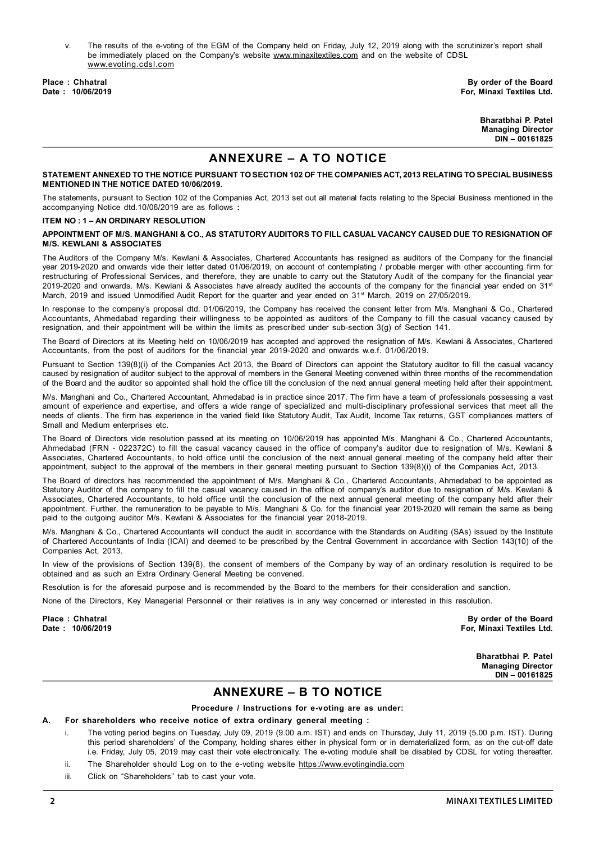v. The results of the e-voting of the EGM of the Company held on Friday, July 12, 2019 along with the scrutinizer's report shall be immediately placed on the Company's website www.minaxitextiles.com and on the website of CDSL www.evoting.cdsl.com

**Place : Chhatral By order of the Board** For, Minaxi Textiles Ltd.

> **Bharatbhai P. Patel Managing Director DIN – 00161825**

## **ANNEXURE – A TO NOTICE**

#### **STATEMENT ANNEXED TO THE NOTICE PURSUANT TO SECTION 102 OF THE COMPANIES ACT, 2013 RELATING TO SPECIAL BUSINESS MENTIONED IN THE NOTICE DATED 10/06/2019.**

The statements, pursuant to Section 102 of the Companies Act, 2013 set out all material facts relating to the Special Business mentioned in the accompanying Notice dtd.10/06/2019 are as follows **:**

#### **ITEM NO : 1 – AN ORDINARY RESOLUTION**

#### **APPOINTMENT OF M/S. MANGHANI & CO., AS STATUTORY AUDITORS TO FILL CASUAL VACANCY CAUSED DUE TO RESIGNATION OF M/S. KEWLANI & ASSOCIATES**

The Auditors of the Company M/s. Kewlani & Associates, Chartered Accountants has resigned as auditors of the Company for the financial year 2019-2020 and onwards vide their letter dated 01/06/2019, on account of contemplating / probable merger with other accounting firm for restructuring of Professional Services, and therefore, they are unable to carry out the Statutory Audit of the company for the financial year 2019-2020 and onwards. M/s. Kewlani & Associates have already audited the accounts of the company for the financial year ended on 31<sup>st</sup> March, 2019 and issued Unmodified Audit Report for the quarter and year ended on 31<sup>st</sup> March, 2019 on 27/05/2019.

In response to the company's proposal dtd. 01/06/2019, the Company has received the consent letter from M/s. Manghani & Co., Chartered Accountants, Ahmedabad regarding their willingness to be appointed as auditors of the Company to fill the casual vacancy caused by resignation, and their appointment will be within the limits as prescribed under sub-section 3(g) of Section 141.

The Board of Directors at its Meeting held on 10/06/2019 has accepted and approved the resignation of M/s. Kewlani & Associates, Chartered Accountants, from the post of auditors for the financial year 2019-2020 and onwards w.e.f. 01/06/2019.

Pursuant to Section 139(8)(i) of the Companies Act 2013, the Board of Directors can appoint the Statutory auditor to fill the casual vacancy caused by resignation of auditor subject to the approval of members in the General Meeting convened within three months of the recommendation of the Board and the auditor so appointed shall hold the office till the conclusion of the next annual general meeting held after their appointment.

M/s. Manghani and Co., Chartered Accountant, Ahmedabad is in practice since 2017. The firm have a team of professionals possessing a vast amount of experience and expertise, and offers a wide range of specialized and multi-disciplinary professional services that meet all the needs of clients. The firm has experience in the varied field like Statutory Audit, Tax Audit, Income Tax returns, GST compliances matters of Small and Medium enterprises etc.

The Board of Directors vide resolution passed at its meeting on 10/06/2019 has appointed M/s. Manghani & Co., Chartered Accountants, Ahmedabad (FRN - 022372C) to fill the casual vacancy caused in the office of company's auditor due to resignation of M/s. Kewlani & Associates, Chartered Accountants, to hold office until the conclusion of the next annual general meeting of the company held after their appointment, subject to the approval of the members in their general meeting pursuant to Section 139(8)(i) of the Companies Act, 2013.

The Board of directors has recommended the appointment of M/s. Manghani & Co., Chartered Accountants, Ahmedabad to be appointed as Statutory Auditor of the company to fill the casual vacancy caused in the office of company's auditor due to resignation of M/s. Kewlani & Associates, Chartered Accountants, to hold office until the conclusion of the next annual general meeting of the company held after their appointment. Further, the remuneration to be payable to M/s. Manghani & Co. for the financial year 2019-2020 will remain the same as being paid to the outgoing auditor M/s. Kewlani & Associates for the financial year 2018-2019.

M/s. Manghani & Co., Chartered Accountants will conduct the audit in accordance with the Standards on Auditing (SAs) issued by the Institute of Chartered Accountants of India (ICAI) and deemed to be prescribed by the Central Government in accordance with Section 143(10) of the Companies Act, 2013.

In view of the provisions of Section 139(8), the consent of members of the Company by way of an ordinary resolution is required to be obtained and as such an Extra Ordinary General Meeting be convened.

Resolution is for the aforesaid purpose and is recommended by the Board to the members for their consideration and sanction.

None of the Directors, Key Managerial Personnel or their relatives is in any way concerned or interested in this resolution.

Place : Chhatral **By order of the Board Date : Chhatral By order of the Board By order of the Board By order of the Board By order of the Board By order of the Board By order of the Board By order of the Board By order of** For, Minaxi Textiles Ltd.

> **Bharatbhai P. Patel Managing Director DIN – 00161825**

### **ANNEXURE – B TO NOTICE**

**Procedure / Instructions for e-voting are as under:**

#### **A. For shareholders who receive notice of extra ordinary general meeting :**

- i. The voting period begins on Tuesday, July 09, 2019 (9.00 a.m. IST) and ends on Thursday, July 11, 2019 (5.00 p.m. IST). During this period shareholders' of the Company, holding shares either in physical form or in dematerialized form, as on the cut-off date i.e. Friday, July 05, 2019 may cast their vote electronically. The e-voting module shall be disabled by CDSL for voting thereafter.
- ii. The Shareholder should Log on to the e-voting website https://www.evotingindia.com
- iii. Click on "Shareholders" tab to cast your vote.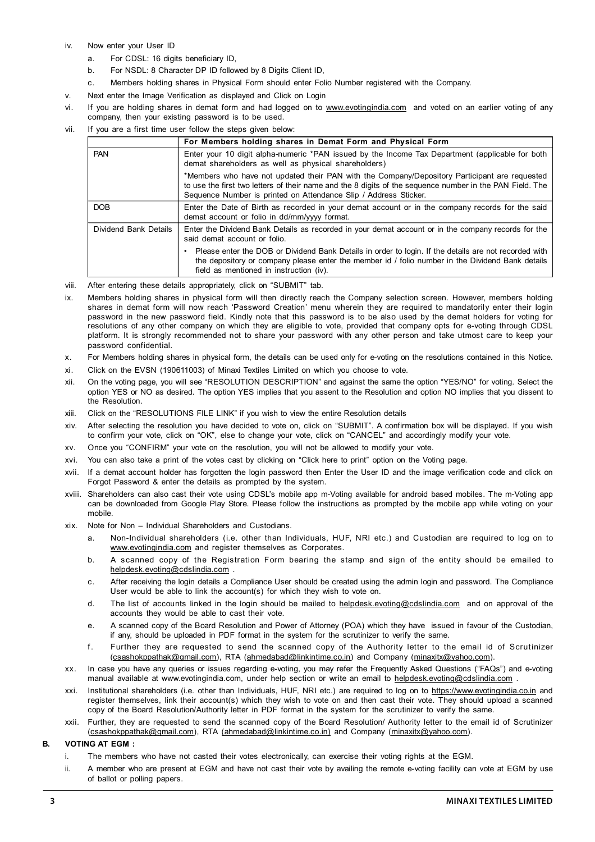#### iv. Now enter your User ID

- a. For CDSL: 16 digits beneficiary ID,
- b. For NSDL: 8 Character DP ID followed by 8 Digits Client ID,
- c. Members holding shares in Physical Form should enter Folio Number registered with the Company.
- v. Next enter the Image Verification as displayed and Click on Login
- vi. If you are holding shares in demat form and had logged on to www.evotingindia.com and voted on an earlier voting of any company, then your existing password is to be used.
- vii. If you are a first time user follow the steps given below:

|                       | For Members holding shares in Demat Form and Physical Form                                                                                                                                                                                                                    |
|-----------------------|-------------------------------------------------------------------------------------------------------------------------------------------------------------------------------------------------------------------------------------------------------------------------------|
| <b>PAN</b>            | Enter your 10 digit alpha-numeric *PAN issued by the Income Tax Department (applicable for both<br>demat shareholders as well as physical shareholders)                                                                                                                       |
|                       | *Members who have not updated their PAN with the Company/Depository Participant are requested<br>to use the first two letters of their name and the 8 digits of the sequence number in the PAN Field. The<br>Sequence Number is printed on Attendance Slip / Address Sticker. |
| <b>DOB</b>            | Enter the Date of Birth as recorded in your demat account or in the company records for the said<br>demat account or folio in dd/mm/yyyy format.                                                                                                                              |
| Dividend Bank Details | Enter the Dividend Bank Details as recorded in your demat account or in the company records for the<br>said demat account or folio.                                                                                                                                           |
|                       | Please enter the DOB or Dividend Bank Details in order to login. If the details are not recorded with<br>the depository or company please enter the member id / folio number in the Dividend Bank details<br>field as mentioned in instruction (iv).                          |

viii. After entering these details appropriately, click on "SUBMIT" tab.

- ix. Members holding shares in physical form will then directly reach the Company selection screen. However, members holding shares in demat form will now reach 'Password Creation' menu wherein they are required to mandatorily enter their login password in the new password field. Kindly note that this password is to be also used by the demat holders for voting for resolutions of any other company on which they are eligible to vote, provided that company opts for e-voting through CDSL platform. It is strongly recommended not to share your password with any other person and take utmost care to keep your password confidential.
- x. For Members holding shares in physical form, the details can be used only for e-voting on the resolutions contained in this Notice.
- xi. Click on the EVSN (190611003) of Minaxi Textiles Limited on which you choose to vote.
- xii. On the voting page, you will see "RESOLUTION DESCRIPTION" and against the same the option "YES/NO" for voting. Select the option YES or NO as desired. The option YES implies that you assent to the Resolution and option NO implies that you dissent to the Resolution.
- xiii. Click on the "RESOLUTIONS FILE LINK" if you wish to view the entire Resolution details
- xiv. After selecting the resolution you have decided to vote on, click on "SUBMIT". A confirmation box will be displayed. If you wish to confirm your vote, click on "OK", else to change your vote, click on "CANCEL" and accordingly modify your vote.
- xv. Once you "CONFIRM" your vote on the resolution, you will not be allowed to modify your vote.
- xvi. You can also take a print of the votes cast by clicking on "Click here to print" option on the Voting page.
- xvii. If a demat account holder has forgotten the login password then Enter the User ID and the image verification code and click on Forgot Password & enter the details as prompted by the system.
- xviii. Shareholders can also cast their vote using CDSL's mobile app m-Voting available for android based mobiles. The m-Voting app can be downloaded from Google Play Store. Please follow the instructions as prompted by the mobile app while voting on your mobile.
- xix. Note for Non Individual Shareholders and Custodians.
	- a. Non-Individual shareholders (i.e. other than Individuals, HUF, NRI etc.) and Custodian are required to log on to www.evotingindia.com and register themselves as Corporates.
	- b. A scanned copy of the Registration Form bearing the stamp and sign of the entity should be emailed to helpdesk.evoting@cdslindia.com
	- c. After receiving the login details a Compliance User should be created using the admin login and password. The Compliance User would be able to link the account(s) for which they wish to vote on.
	- d. The list of accounts linked in the login should be mailed to helpdesk.evoting@cdslindia.com and on approval of the accounts they would be able to cast their vote.
	- e. A scanned copy of the Board Resolution and Power of Attorney (POA) which they have issued in favour of the Custodian, if any, should be uploaded in PDF format in the system for the scrutinizer to verify the same.
	- f. Further they are requested to send the scanned copy of the Authority letter to the email id of Scrutinizer (csashokppathak@gmail.com), RTA (ahmedabad@linkintime.co.in) and Company (minaxitx@yahoo.com).
- xx. In case you have any queries or issues regarding e-voting, you may refer the Frequently Asked Questions ("FAQs") and e-voting manual available at www.evotingindia.com, under help section or write an email to helpdesk.evoting@cdslindia.com .
- xxi. Institutional shareholders (i.e. other than Individuals, HUF, NRI etc.) are required to log on to https://www.evotingindia.co.in and register themselves, link their account(s) which they wish to vote on and then cast their vote. They should upload a scanned copy of the Board Resolution/Authority letter in PDF format in the system for the scrutinizer to verify the same.
- xxii. Further, they are requested to send the scanned copy of the Board Resolution/ Authority letter to the email id of Scrutinizer (csashokppathak@gmail.com), RTA (ahmedabad@linkintime.co.in) and Company (minaxitx@yahoo.com).

#### **B. VOTING AT EGM :**

- i. The members who have not casted their votes electronically, can exercise their voting rights at the EGM.
- ii. A member who are present at EGM and have not cast their vote by availing the remote e-voting facility can vote at EGM by use of ballot or polling papers.